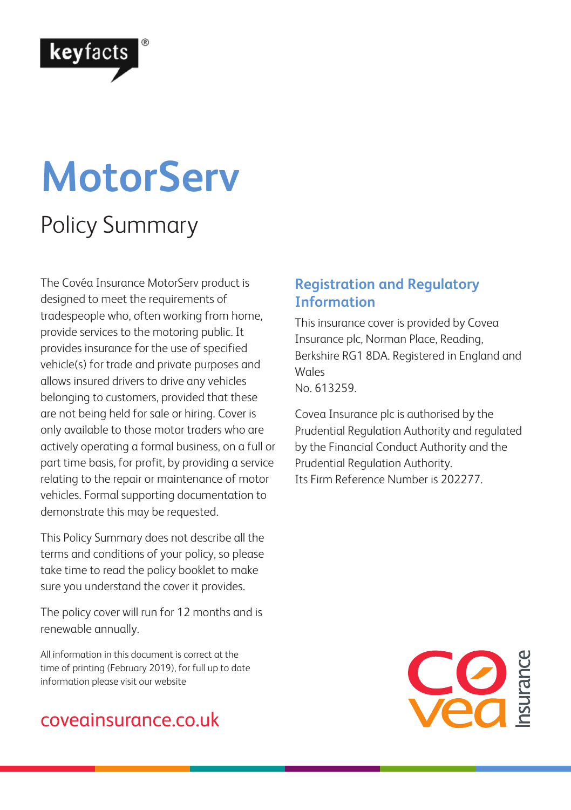

# **MotorServ**

### Policy Summary

The Covéa Insurance MotorServ product is designed to meet the requirements of tradespeople who, often working from home, provide services to the motoring public. It provides insurance for the use of specified vehicle(s) for trade and private purposes and allows insured drivers to drive any vehicles belonging to customers, provided that these are not being held for sale or hiring. Cover is only available to those motor traders who are actively operating a formal business, on a full or part time basis, for profit, by providing a service relating to the repair or maintenance of motor vehicles. Formal supporting documentation to demonstrate this may be requested.

This Policy Summary does not describe all the terms and conditions of your policy, so please take time to read the policy booklet to make sure you understand the cover it provides.

The policy cover will run for 12 months and is renewable annually.

All information in this document is correct at the time of printing (February 2019), for full up to date information please visit our website

### coveainsurance.co.uk

### **Registration and Regulatory Information**

This insurance cover is provided by Covea Insurance plc, Norman Place, Reading, Berkshire RG1 8DA. Registered in England and Wales No. 613259.

Covea Insurance plc is authorised by the Prudential Regulation Authority and regulated by the Financial Conduct Authority and the Prudential Regulation Authority. Its Firm Reference Number is 202277.

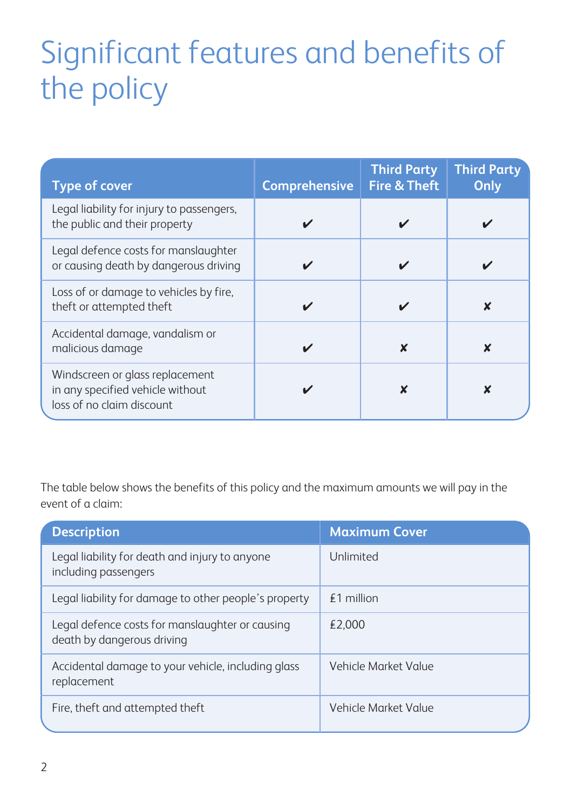### Significant features and benefits of the policy

| <b>Type of cover</b>                                                                             | <b>Comprehensive</b> | <b>Third Party</b><br><b>Fire &amp; Theft</b> | <b>Third Party</b><br>Only |
|--------------------------------------------------------------------------------------------------|----------------------|-----------------------------------------------|----------------------------|
| Legal liability for injury to passengers,<br>the public and their property                       |                      |                                               |                            |
| Legal defence costs for manslaughter<br>or causing death by dangerous driving                    |                      |                                               |                            |
| Loss of or damage to vehicles by fire,<br>theft or attempted theft                               |                      |                                               | x                          |
| Accidental damage, vandalism or<br>malicious damage                                              |                      | x                                             | X                          |
| Windscreen or glass replacement<br>in any specified vehicle without<br>loss of no claim discount |                      | x                                             |                            |

The table below shows the benefits of this policy and the maximum amounts we will pay in the event of a claim:

| <b>Description</b>                                                            | <b>Maximum Cover</b> |
|-------------------------------------------------------------------------------|----------------------|
| Legal liability for death and injury to anyone<br>including passengers        | Unlimited            |
| Legal liability for damage to other people's property                         | $f1$ million         |
| Legal defence costs for manslaughter or causing<br>death by dangerous driving | £2,000               |
| Accidental damage to your vehicle, including glass<br>replacement             | Vehicle Market Value |
| Fire, theft and attempted theft                                               | Vehicle Market Value |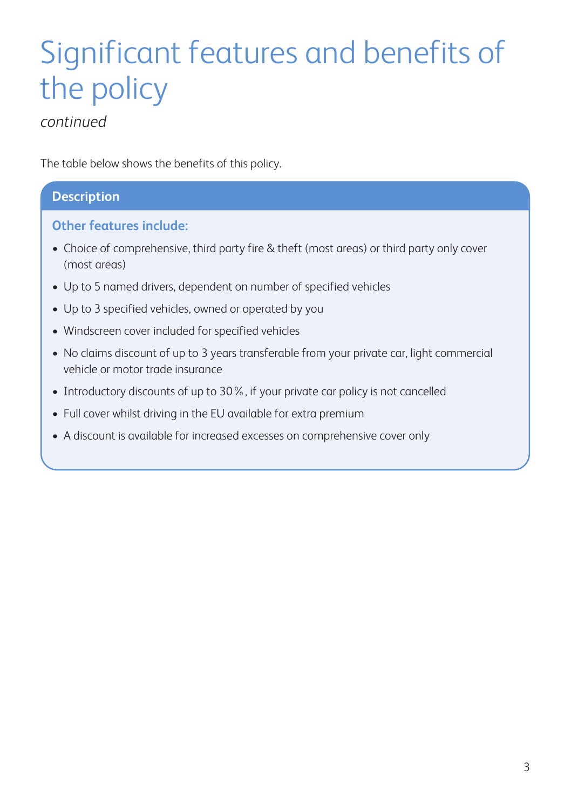## Significant features and benefits of the policy

### *continued*

The table below shows the benefits of this policy.

#### **Description**

#### **Other features include:**

- Choice of comprehensive, third party fire & theft (most areas) or third party only cover (most areas)
- Up to 5 named drivers, dependent on number of specified vehicles
- Up to 3 specified vehicles, owned or operated by you
- Windscreen cover included for specified vehicles
- No claims discount of up to 3 years transferable from your private car, light commercial vehicle or motor trade insurance
- Introductory discounts of up to 30%, if your private car policy is not cancelled
- Full cover whilst driving in the EU available for extra premium
- A discount is available for increased excesses on comprehensive cover only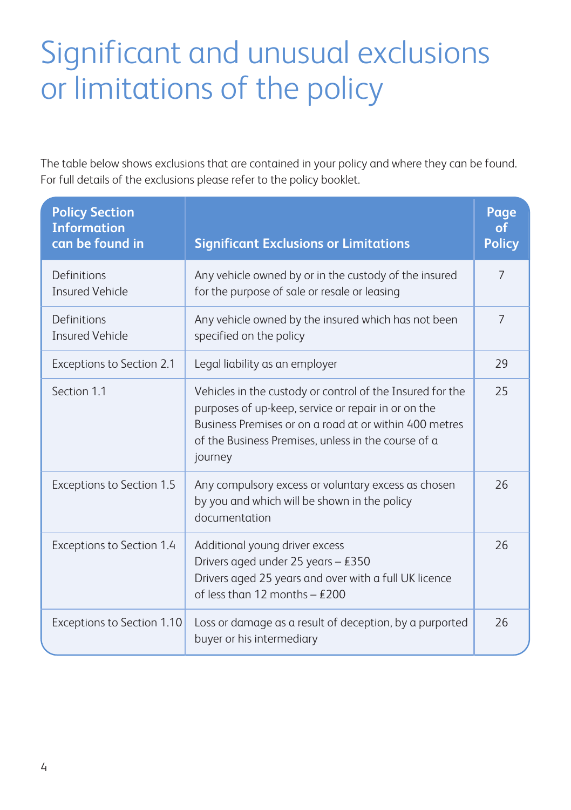### Significant and unusual exclusions or limitations of the policy

The table below shows exclusions that are contained in your policy and where they can be found. For full details of the exclusions please refer to the policy booklet.

| <b>Policy Section</b><br><b>Information</b><br>can be found in | <b>Significant Exclusions or Limitations</b>                                                                                                                                                                                                 | Page<br>οf<br><b>Policy</b> |
|----------------------------------------------------------------|----------------------------------------------------------------------------------------------------------------------------------------------------------------------------------------------------------------------------------------------|-----------------------------|
| Definitions<br><b>Insured Vehicle</b>                          | Any vehicle owned by or in the custody of the insured<br>for the purpose of sale or resale or leasing                                                                                                                                        | $\overline{7}$              |
| Definitions<br><b>Insured Vehicle</b>                          | Any vehicle owned by the insured which has not been<br>specified on the policy                                                                                                                                                               | $\overline{7}$              |
| <b>Exceptions to Section 2.1</b>                               | Legal liability as an employer                                                                                                                                                                                                               | 29                          |
| Section 11                                                     | Vehicles in the custody or control of the Insured for the<br>purposes of up-keep, service or repair in or on the<br>Business Premises or on a road at or within 400 metres<br>of the Business Premises, unless in the course of a<br>journey | 25                          |
| Exceptions to Section 1.5                                      | Any compulsory excess or voluntary excess as chosen<br>by you and which will be shown in the policy<br>documentation                                                                                                                         | 26                          |
| Exceptions to Section 1.4                                      | Additional young driver excess<br>Drivers aged under 25 years - £350<br>Drivers aged 25 years and over with a full UK licence<br>of less than 12 months $- f200$                                                                             | 26                          |
| Exceptions to Section 1.10                                     | Loss or damage as a result of deception, by a purported<br>buyer or his intermediary                                                                                                                                                         | 26                          |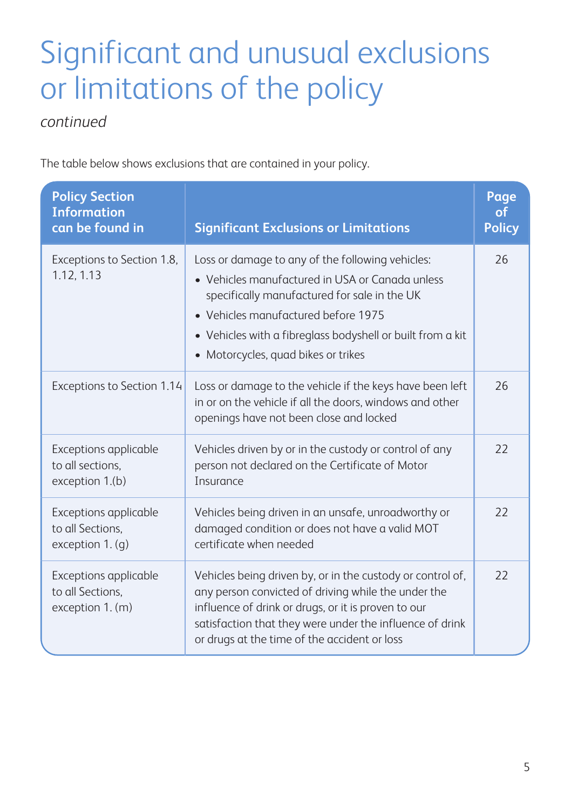### Significant and unusual exclusions or limitations of the policy

### *continued*

The table below shows exclusions that are contained in your policy.

| <b>Policy Section</b><br><b>Information</b><br>can be found in | <b>Significant Exclusions or Limitations</b>                                                                                                                                                                                                                                                    | Page<br>of<br><b>Policy</b> |
|----------------------------------------------------------------|-------------------------------------------------------------------------------------------------------------------------------------------------------------------------------------------------------------------------------------------------------------------------------------------------|-----------------------------|
| Exceptions to Section 1.8,<br>1.12, 1.13                       | Loss or damage to any of the following vehicles:<br>• Vehicles manufactured in USA or Canada unless<br>specifically manufactured for sale in the UK<br>• Vehicles manufactured before 1975<br>• Vehicles with a fibreglass bodyshell or built from a kit<br>• Motorcycles, quad bikes or trikes | 26                          |
| Exceptions to Section 1.14                                     | Loss or damage to the vehicle if the keys have been left<br>in or on the vehicle if all the doors, windows and other<br>openings have not been close and locked                                                                                                                                 | 26                          |
| Exceptions applicable<br>to all sections.<br>exception 1.(b)   | Vehicles driven by or in the custody or control of any<br>person not declared on the Certificate of Motor<br>Insurance                                                                                                                                                                          | 22                          |
| Exceptions applicable<br>to all Sections.<br>exception 1. (q)  | Vehicles being driven in an unsafe, unroadworthy or<br>damaged condition or does not have a valid MOT<br>certificate when needed                                                                                                                                                                | 22                          |
| Exceptions applicable<br>to all Sections.<br>exception 1. (m)  | Vehicles being driven by, or in the custody or control of,<br>any person convicted of driving while the under the<br>influence of drink or drugs, or it is proven to our<br>satisfaction that they were under the influence of drink<br>or drugs at the time of the accident or loss            | 22                          |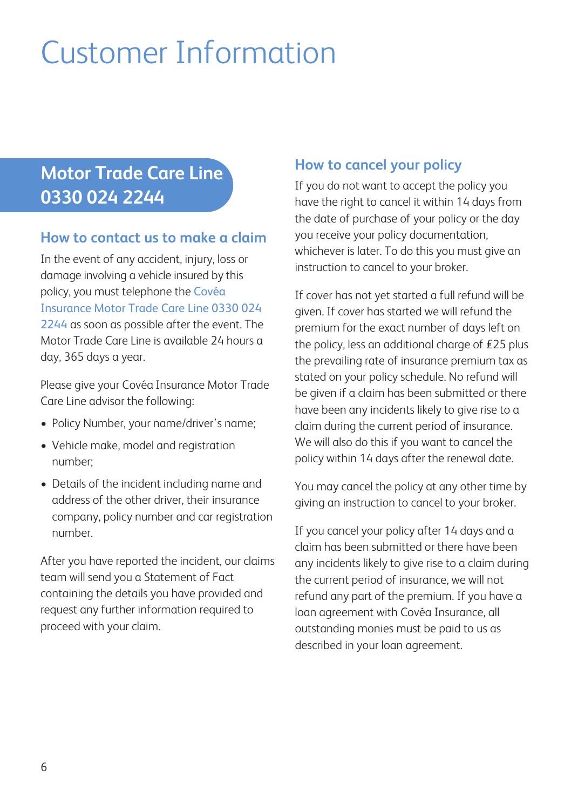### Customer Information

### **Motor Trade Care Line 0330 024 2244**

#### **How to contact us to make a claim**

In the event of any accident, injury, loss or damage involving a vehicle insured by this policy, you must telephone the Covéa Insurance Motor Trade Care Line 0330 024 2244 as soon as possible after the event. The Motor Trade Care Line is available 24 hours a day, 365 days a year.

Please give your Covéa Insurance Motor Trade Care Line advisor the following:

- Policy Number, your name/driver's name;
- Vehicle make, model and registration number;
- Details of the incident including name and address of the other driver, their insurance company, policy number and car registration number.

After you have reported the incident, our claims team will send you a Statement of Fact containing the details you have provided and request any further information required to proceed with your claim.

### **How to cancel your policy**

If you do not want to accept the policy you have the right to cancel it within 14 days from the date of purchase of your policy or the day you receive your policy documentation, whichever is later. To do this you must give an instruction to cancel to your broker.

If cover has not yet started a full refund will be given. If cover has started we will refund the premium for the exact number of days left on the policy, less an additional charge of £25 plus the prevailing rate of insurance premium tax as stated on your policy schedule. No refund will be given if a claim has been submitted or there have been any incidents likely to give rise to a claim during the current period of insurance. We will also do this if you want to cancel the policy within 14 days after the renewal date.

You may cancel the policy at any other time by giving an instruction to cancel to your broker.

If you cancel your policy after 14 days and a claim has been submitted or there have been any incidents likely to give rise to a claim during the current period of insurance, we will not refund any part of the premium. If you have a loan agreement with Covéa Insurance, all outstanding monies must be paid to us as described in your loan agreement.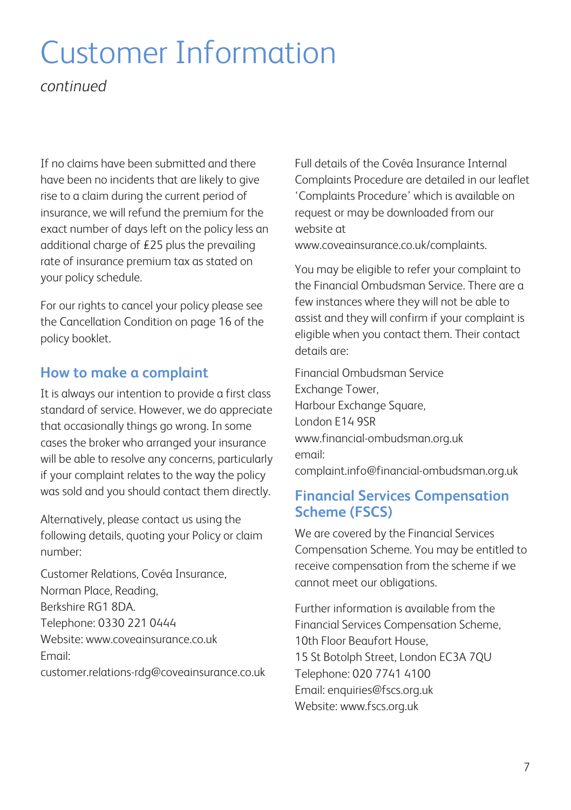### Customer Information

*continued*

If no claims have been submitted and there have been no incidents that are likely to give rise to a claim during the current period of insurance, we will refund the premium for the exact number of days left on the policy less an additional charge of £25 plus the prevailing rate of insurance premium tax as stated on your policy schedule.

For our rights to cancel your policy please see the Cancellation Condition on page 16 of the policy booklet.

### **How to make a complaint**

It is always our intention to provide a first class standard of service. However, we do appreciate that occasionally things go wrong. In some cases the broker who arranged your insurance will be able to resolve any concerns, particularly if your complaint relates to the way the policy was sold and you should contact them directly.

Alternatively, please contact us using the following details, quoting your Policy or claim number:

Customer Relations, Covéa Insurance, Norman Place, Reading, Berkshire RG1 8DA. Telephone: 0330 221 0444 Website: www.coveainsurance.co.uk Email: customer.relations-rdg@coveainsurance.co.uk Full details of the Covéa Insurance Internal Complaints Procedure are detailed in our leaflet 'Complaints Procedure' which is available on request or may be downloaded from our website at

www.coveainsurance.co.uk/complaints.

You may be eligible to refer your complaint to the Financial Ombudsman Service. There are a few instances where they will not be able to assist and they will confirm if your complaint is eligible when you contact them. Their contact details are:

Financial Ombudsman Service Exchange Tower, Harbour Exchange Square, London E14 9SR www.financial-ombudsman.org.uk email:

complaint.info@financial-ombudsman.org.uk

#### **Financial Services Compensation Scheme (FSCS)**

We are covered by the Financial Services Compensation Scheme. You may be entitled to receive compensation from the scheme if we cannot meet our obligations.

Further information is available from the Financial Services Compensation Scheme, 10th Floor Beaufort House, 15 St Botolph Street, London EC3A 7QU Telephone: 020 7741 4100 Email: enquiries@fscs.org.uk Website: www.fscs.org.uk